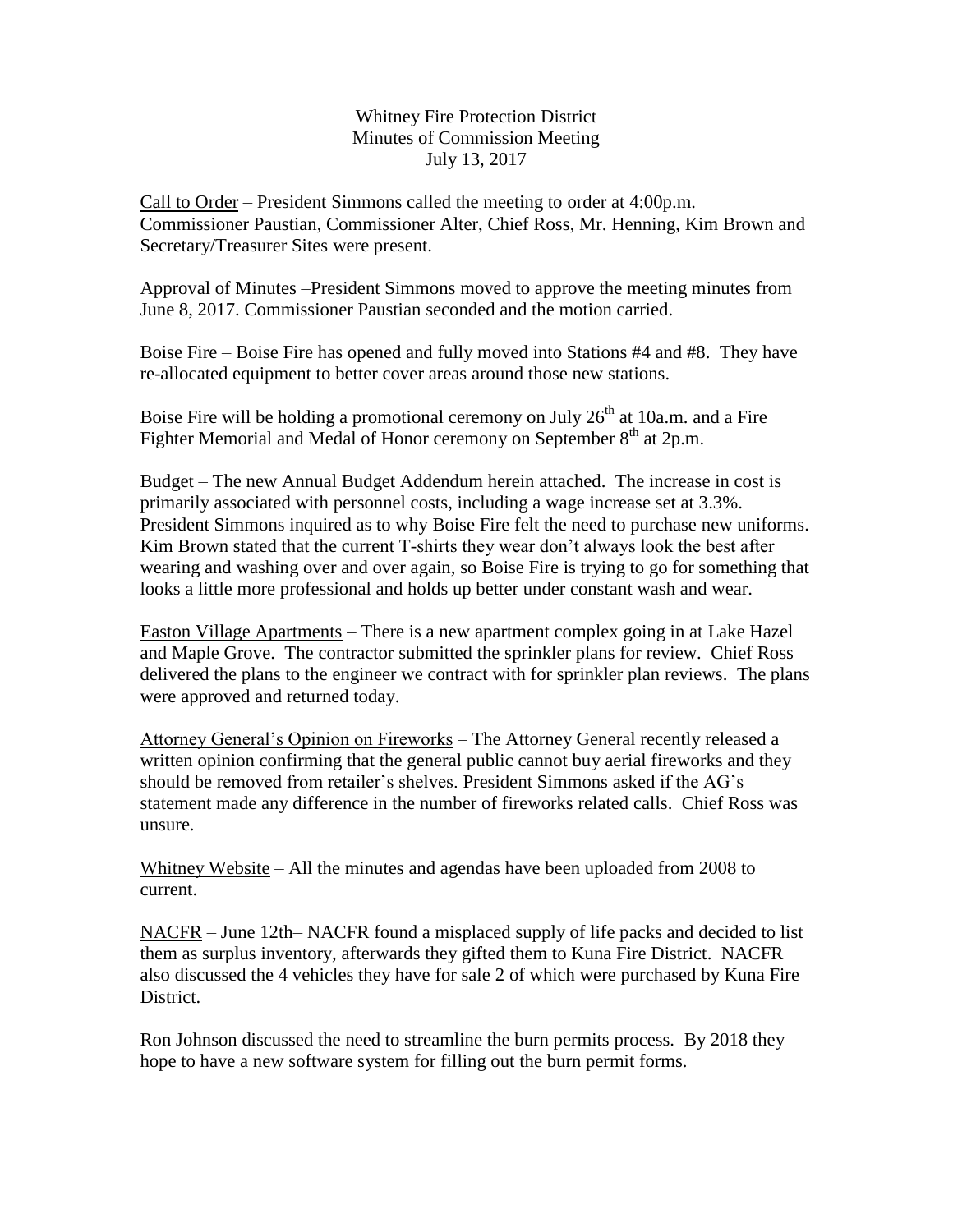## Whitney Fire Protection District Minutes of Commission Meeting July 13, 2017

Call to Order – President Simmons called the meeting to order at 4:00p.m. Commissioner Paustian, Commissioner Alter, Chief Ross, Mr. Henning, Kim Brown and Secretary/Treasurer Sites were present.

Approval of Minutes –President Simmons moved to approve the meeting minutes from June 8, 2017. Commissioner Paustian seconded and the motion carried.

Boise Fire – Boise Fire has opened and fully moved into Stations #4 and #8. They have re-allocated equipment to better cover areas around those new stations.

Boise Fire will be holding a promotional ceremony on July  $26<sup>th</sup>$  at 10a.m. and a Fire Fighter Memorial and Medal of Honor ceremony on September  $8<sup>th</sup>$  at 2p.m.

Budget – The new Annual Budget Addendum herein attached. The increase in cost is primarily associated with personnel costs, including a wage increase set at 3.3%. President Simmons inquired as to why Boise Fire felt the need to purchase new uniforms. Kim Brown stated that the current T-shirts they wear don't always look the best after wearing and washing over and over again, so Boise Fire is trying to go for something that looks a little more professional and holds up better under constant wash and wear.

Easton Village Apartments – There is a new apartment complex going in at Lake Hazel and Maple Grove. The contractor submitted the sprinkler plans for review. Chief Ross delivered the plans to the engineer we contract with for sprinkler plan reviews. The plans were approved and returned today.

Attorney General's Opinion on Fireworks – The Attorney General recently released a written opinion confirming that the general public cannot buy aerial fireworks and they should be removed from retailer's shelves. President Simmons asked if the AG's statement made any difference in the number of fireworks related calls. Chief Ross was unsure.

Whitney Website – All the minutes and agendas have been uploaded from 2008 to current.

NACFR – June 12th– NACFR found a misplaced supply of life packs and decided to list them as surplus inventory, afterwards they gifted them to Kuna Fire District. NACFR also discussed the 4 vehicles they have for sale 2 of which were purchased by Kuna Fire District.

Ron Johnson discussed the need to streamline the burn permits process. By 2018 they hope to have a new software system for filling out the burn permit forms.